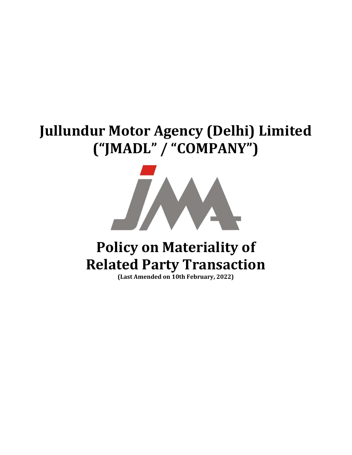# Jullundur Motor Agency (Delhi) Limited ("JMADL" / "COMPANY")



# Policy on Materiality of Related Party Transaction

(Last Amended on 10th February, 2022)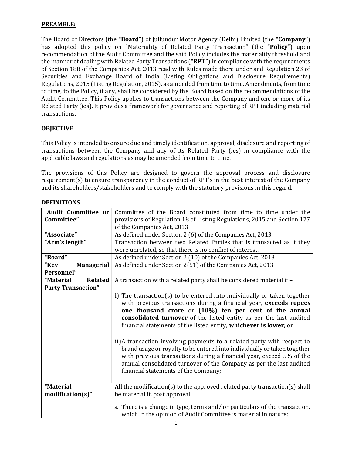#### PREAMBLE:

The Board of Directors (the "Board") of Jullundur Motor Agency (Delhi) Limited (the "Company") has adopted this policy on "Materiality of Related Party Transaction" (the "Policy") upon recommendation of the Audit Committee and the said Policy includes the materiality threshold and the manner of dealing with Related Party Transactions ("RPT") in compliance with the requirements of Section 188 of the Companies Act, 2013 read with Rules made there under and Regulation 23 of Securities and Exchange Board of India (Listing Obligations and Disclosure Requirements) Regulations, 2015 (Listing Regulation, 2015), as amended from time to time. Amendments, from time to time, to the Policy, if any, shall be considered by the Board based on the recommendations of the Audit Committee. This Policy applies to transactions between the Company and one or more of its Related Party (ies). It provides a framework for governance and reporting of RPT including material transactions.

#### **OBJECTIVE**

This Policy is intended to ensure due and timely identification, approval, disclosure and reporting of transactions between the Company and any of its Related Party (ies) in compliance with the applicable laws and regulations as may be amended from time to time.

The provisions of this Policy are designed to govern the approval process and disclosure requirement(s) to ensure transparency in the conduct of RPT's in the best interest of the Company and its shareholders/stakeholders and to comply with the statutory provisions in this regard.

| "Audit Committee or         | Committee of the Board constituted from time to time under the             |
|-----------------------------|----------------------------------------------------------------------------|
| Committee"                  | provisions of Regulation 18 of Listing Regulations, 2015 and Section 177   |
|                             | of the Companies Act, 2013                                                 |
| "Associate"                 | As defined under Section 2 (6) of the Companies Act, 2013                  |
| "Arm's length"              | Transaction between two Related Parties that is transacted as if they      |
|                             | were unrelated, so that there is no conflict of interest.                  |
| "Board"                     | As defined under Section 2 (10) of the Companies Act, 2013                 |
| <b>Managerial</b><br>"Key   | As defined under Section 2(51) of the Companies Act, 2013                  |
| Personnel"                  |                                                                            |
| "Material<br><b>Related</b> | A transaction with a related party shall be considered material if -       |
| <b>Party Transaction"</b>   |                                                                            |
|                             | i) The transaction(s) to be entered into individually or taken together    |
|                             | with previous transactions during a financial year, exceeds rupees         |
|                             | one thousand crore or (10%) ten per cent of the annual                     |
|                             | consolidated turnover of the listed entity as per the last audited         |
|                             | financial statements of the listed entity, whichever is lower; or          |
|                             |                                                                            |
|                             | ii)A transaction involving payments to a related party with respect to     |
|                             | brand usage or royalty to be entered into individually or taken together   |
|                             | with previous transactions during a financial year, exceed 5% of the       |
|                             | annual consolidated turnover of the Company as per the last audited        |
|                             | financial statements of the Company;                                       |
|                             |                                                                            |
| "Material                   | All the modification(s) to the approved related party transaction(s) shall |
| $modification(s)$ "         | be material if, post approval:                                             |
|                             |                                                                            |
|                             | a. There is a change in type, terms and/or particulars of the transaction, |
|                             | which in the opinion of Audit Committee is material in nature;             |

#### **DEFINITIONS**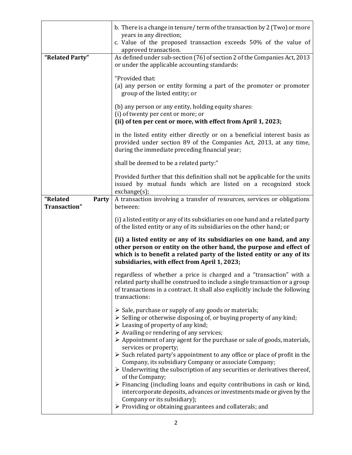| "Related Party"                          | b. There is a change in tenure/term of the transaction by 2 (Two) or more<br>years in any direction;<br>c. Value of the proposed transaction exceeds 50% of the value of<br>approved transaction.<br>As defined under sub-section (76) of section 2 of the Companies Act, 2013<br>or under the applicable accounting standards: |
|------------------------------------------|---------------------------------------------------------------------------------------------------------------------------------------------------------------------------------------------------------------------------------------------------------------------------------------------------------------------------------|
|                                          | "Provided that:<br>(a) any person or entity forming a part of the promoter or promoter<br>group of the listed entity; or                                                                                                                                                                                                        |
|                                          | (b) any person or any entity, holding equity shares:<br>(i) of twenty per cent or more; or<br>(ii) of ten per cent or more, with effect from April 1, 2023;                                                                                                                                                                     |
|                                          | in the listed entity either directly or on a beneficial interest basis as<br>provided under section 89 of the Companies Act, 2013, at any time,<br>during the immediate preceding financial year;                                                                                                                               |
|                                          | shall be deemed to be a related party:"                                                                                                                                                                                                                                                                                         |
|                                          | Provided further that this definition shall not be applicable for the units<br>issued by mutual funds which are listed on a recognized stock<br>exchange(s);                                                                                                                                                                    |
| "Related<br><b>Party</b><br>Transaction" | A transaction involving a transfer of resources, services or obligations<br>between:                                                                                                                                                                                                                                            |
|                                          | (i) a listed entity or any of its subsidiaries on one hand and a related party<br>of the listed entity or any of its subsidiaries on the other hand; or                                                                                                                                                                         |
|                                          | (ii) a listed entity or any of its subsidiaries on one hand, and any<br>other person or entity on the other hand, the purpose and effect of<br>which is to benefit a related party of the listed entity or any of its<br>subsidiaries, with effect from April 1, 2023;                                                          |
|                                          | regardless of whether a price is charged and a "transaction" with a<br>related party shall be construed to include a single transaction or a group<br>of transactions in a contract. It shall also explicitly include the following<br>transactions:                                                                            |
|                                          | $\triangleright$ Sale, purchase or supply of any goods or materials;<br>> Selling or otherwise disposing of, or buying property of any kind;<br>$\triangleright$ Leasing of property of any kind;<br>$\triangleright$ Availing or rendering of any services;                                                                    |
|                                          | > Appointment of any agent for the purchase or sale of goods, materials,<br>services or property;                                                                                                                                                                                                                               |
|                                          | $\triangleright$ Such related party's appointment to any office or place of profit in the<br>Company, its subsidiary Company or associate Company;                                                                                                                                                                              |
|                                          | $\triangleright$ Underwriting the subscription of any securities or derivatives thereof,                                                                                                                                                                                                                                        |
|                                          | of the Company;<br>$\triangleright$ Financing (including loans and equity contributions in cash or kind,<br>intercorporate deposits, advances or investments made or given by the<br>Company or its subsidiary);<br>> Providing or obtaining guarantees and collaterals; and                                                    |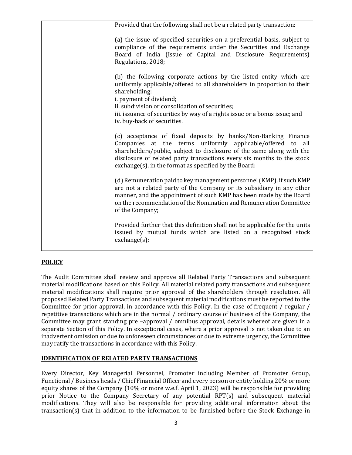| Provided that the following shall not be a related party transaction:                                                                                                                                                                                                                                                                                     |
|-----------------------------------------------------------------------------------------------------------------------------------------------------------------------------------------------------------------------------------------------------------------------------------------------------------------------------------------------------------|
| (a) the issue of specified securities on a preferential basis, subject to<br>compliance of the requirements under the Securities and Exchange<br>Board of India (Issue of Capital and Disclosure Requirements)<br>Regulations, 2018;                                                                                                                      |
| (b) the following corporate actions by the listed entity which are<br>uniformly applicable/offered to all shareholders in proportion to their<br>shareholding:<br>i. payment of dividend;<br>ii. subdivision or consolidation of securities;<br>iii. issuance of securities by way of a rights issue or a bonus issue; and<br>iv. buy-back of securities. |
| (c) acceptance of fixed deposits by banks/Non-Banking Finance<br>Companies at the terms uniformly applicable/offered to<br>all<br>shareholders/public, subject to disclosure of the same along with the<br>disclosure of related party transactions every six months to the stock<br>exchange(s), in the format as specified by the Board:                |
| (d) Remuneration paid to key management personnel (KMP), if such KMP<br>are not a related party of the Company or its subsidiary in any other<br>manner, and the appointment of such KMP has been made by the Board<br>on the recommendation of the Nomination and Remuneration Committee<br>of the Company;                                              |
| Provided further that this definition shall not be applicable for the units<br>issued by mutual funds which are listed on a recognized stock<br>exchange(s);                                                                                                                                                                                              |

# **POLICY**

The Audit Committee shall review and approve all Related Party Transactions and subsequent material modifications based on this Policy. All material related party transactions and subsequent material modifications shall require prior approval of the shareholders through resolution. All proposed Related Party Transactions and subsequent material modifications must be reported to the Committee for prior approval, in accordance with this Policy. In the case of frequent / regular / repetitive transactions which are in the normal / ordinary course of business of the Company, the Committee may grant standing pre –approval / omnibus approval, details whereof are given in a separate Section of this Policy. In exceptional cases, where a prior approval is not taken due to an inadvertent omission or due to unforeseen circumstances or due to extreme urgency, the Committee may ratify the transactions in accordance with this Policy.

#### IDENTIFICATION OF RELATED PARTY TRANSACTIONS

Every Director, Key Managerial Personnel, Promoter including Member of Promoter Group, Functional / Business heads / Chief Financial Officer and every person or entity holding 20% or more equity shares of the Company (10% or more w.e.f. April 1, 2023) will be responsible for providing prior Notice to the Company Secretary of any potential RPT(s) and subsequent material modifications. They will also be responsible for providing additional information about the transaction(s) that in addition to the information to be furnished before the Stock Exchange in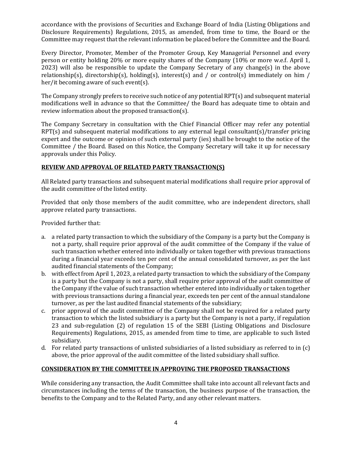accordance with the provisions of Securities and Exchange Board of India (Listing Obligations and Disclosure Requirements) Regulations, 2015, as amended, from time to time, the Board or the Committee may request that the relevant information be placed before the Committee and the Board.

Every Director, Promoter, Member of the Promoter Group, Key Managerial Personnel and every person or entity holding 20% or more equity shares of the Company (10% or more w.e.f. April 1, 2023) will also be responsible to update the Company Secretary of any change(s) in the above relationship(s), directorship(s), holding(s), interest(s) and / or control(s) immediately on him / her/it becoming aware of such event(s).

The Company strongly prefers to receive such notice of any potential RPT(s) and subsequent material modifications well in advance so that the Committee/ the Board has adequate time to obtain and review information about the proposed transaction(s).

The Company Secretary in consultation with the Chief Financial Officer may refer any potential RPT(s) and subsequent material modifications to any external legal consultant(s)/transfer pricing expert and the outcome or opinion of such external party (ies) shall be brought to the notice of the Committee / the Board. Based on this Notice, the Company Secretary will take it up for necessary approvals under this Policy.

## REVIEW AND APPROVAL OF RELATED PARTY TRANSACTION(S)

All Related party transactions and subsequent material modifications shall require prior approval of the audit committee of the listed entity.

Provided that only those members of the audit committee, who are independent directors, shall approve related party transactions.

Provided further that:

- a. a related party transaction to which the subsidiary of the Company is a party but the Company is not a party, shall require prior approval of the audit committee of the Company if the value of such transaction whether entered into individually or taken together with previous transactions during a financial year exceeds ten per cent of the annual consolidated turnover, as per the last audited financial statements of the Company;
- b. with effect from April 1, 2023, a related party transaction to which the subsidiary of the Company is a party but the Company is not a party, shall require prior approval of the audit committee of the Company if the value of such transaction whether entered into individually or taken together with previous transactions during a financial year, exceeds ten per cent of the annual standalone turnover, as per the last audited financial statements of the subsidiary;
- c. prior approval of the audit committee of the Company shall not be required for a related party transaction to which the listed subsidiary is a party but the Company is not a party, if regulation 23 and sub-regulation (2) of regulation 15 of the SEBI (Listing Obligations and Disclosure Requirements) Regulations, 2015, as amended from time to time, are applicable to such listed subsidiary.
- d. For related party transactions of unlisted subsidiaries of a listed subsidiary as referred to in (c) above, the prior approval of the audit committee of the listed subsidiary shall suffice.

## CONSIDERATION BY THE COMMITTEE IN APPROVING THE PROPOSED TRANSACTIONS

While considering any transaction, the Audit Committee shall take into account all relevant facts and circumstances including the terms of the transaction, the business purpose of the transaction, the benefits to the Company and to the Related Party, and any other relevant matters.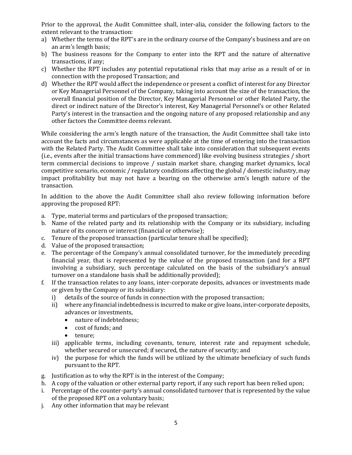Prior to the approval, the Audit Committee shall, inter-alia, consider the following factors to the extent relevant to the transaction:

- a) Whether the terms of the RPT's are in the ordinary course of the Company's business and are on an arm's length basis;
- b) The business reasons for the Company to enter into the RPT and the nature of alternative transactions, if any;
- c) Whether the RPT includes any potential reputational risks that may arise as a result of or in connection with the proposed Transaction; and
- d) Whether the RPT would affect the independence or present a conflict of interest for any Director or Key Managerial Personnel of the Company, taking into account the size of the transaction, the overall financial position of the Director, Key Managerial Personnel or other Related Party, the direct or indirect nature of the Director's interest, Key Managerial Personnel's or other Related Party's interest in the transaction and the ongoing nature of any proposed relationship and any other factors the Committee deems relevant.

While considering the arm's length nature of the transaction, the Audit Committee shall take into account the facts and circumstances as were applicable at the time of entering into the transaction with the Related Party. The Audit Committee shall take into consideration that subsequent events (i.e., events after the initial transactions have commenced) like evolving business strategies / short term commercial decisions to improve / sustain market share, changing market dynamics, local competitive scenario, economic / regulatory conditions affecting the global / domestic industry, may impact profitability but may not have a bearing on the otherwise arm's length nature of the transaction.

In addition to the above the Audit Committee shall also review following information before approving the proposed RPT:

- a. Type, material terms and particulars of the proposed transaction;
- b. Name of the related party and its relationship with the Company or its subsidiary, including nature of its concern or interest (financial or otherwise);
- c. Tenure of the proposed transaction (particular tenure shall be specified);
- d. Value of the proposed transaction;
- e. The percentage of the Company's annual consolidated turnover, for the immediately preceding financial year, that is represented by the value of the proposed transaction (and for a RPT involving a subsidiary, such percentage calculated on the basis of the subsidiary's annual turnover on a standalone basis shall be additionally provided);
- f. If the transaction relates to any loans, inter-corporate deposits, advances or investments made or given by the Company or its subsidiary:
	- i) details of the source of funds in connection with the proposed transaction;
	- ii) where any financial indebtedness is incurred to make or give loans, inter-corporate deposits, advances or investments,
		- nature of indebtedness;
		- cost of funds; and
		- tenure;
	- iii) applicable terms, including covenants, tenure, interest rate and repayment schedule, whether secured or unsecured; if secured, the nature of security; and
	- iv) the purpose for which the funds will be utilized by the ultimate beneficiary of such funds pursuant to the RPT.
- g. Justification as to why the RPT is in the interest of the Company;
- h. A copy of the valuation or other external party report, if any such report has been relied upon;
- i. Percentage of the counter-party's annual consolidated turnover that is represented by the value of the proposed RPT on a voluntary basis;
- j. Any other information that may be relevant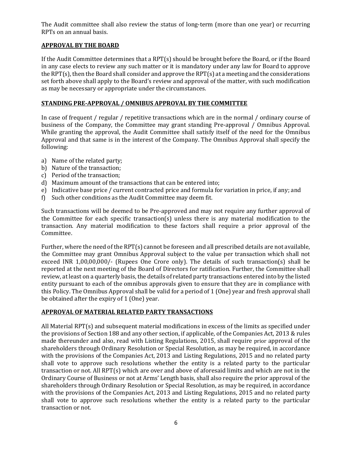The Audit committee shall also review the status of long-term (more than one year) or recurring RPTs on an annual basis.

## APPROVAL BY THE BOARD

If the Audit Committee determines that a RPT(s) should be brought before the Board, or if the Board in any case elects to review any such matter or it is mandatory under any law for Board to approve the RPT(s), then the Board shall consider and approve the RPT(s) at a meeting and the considerations set forth above shall apply to the Board's review and approval of the matter, with such modification as may be necessary or appropriate under the circumstances.

#### STANDING PRE-APPROVAL / OMNIBUS APPROVAL BY THE COMMITTEE

In case of frequent / regular / repetitive transactions which are in the normal / ordinary course of business of the Company, the Committee may grant standing Pre-approval / Omnibus Approval. While granting the approval, the Audit Committee shall satisfy itself of the need for the Omnibus Approval and that same is in the interest of the Company. The Omnibus Approval shall specify the following:

- a) Name of the related party;
- b) Nature of the transaction;
- c) Period of the transaction;
- d) Maximum amount of the transactions that can be entered into;
- e) Indicative base price / current contracted price and formula for variation in price, if any; and
- f) Such other conditions as the Audit Committee may deem fit.

Such transactions will be deemed to be Pre-approved and may not require any further approval of the Committee for each specific transaction(s) unless there is any material modification to the transaction. Any material modification to these factors shall require a prior approval of the Committee.

Further, where the need of the RPT(s) cannot be foreseen and all prescribed details are not available, the Committee may grant Omnibus Approval subject to the value per transaction which shall not exceed INR 1,00,00,000/- (Rupees One Crore only). The details of such transaction(s) shall be reported at the next meeting of the Board of Directors for ratification. Further, the Committee shall review, at least on a quarterly basis, the details of related party transactions entered into by the listed entity pursuant to each of the omnibus approvals given to ensure that they are in compliance with this Policy. The Omnibus Approval shall be valid for a period of 1 (One) year and fresh approval shall be obtained after the expiry of 1 (One) year.

## APPROVAL OF MATERIAL RELATED PARTY TRANSACTIONS

All Material RPT(s) and subsequent material modifications in excess of the limits as specified under the provisions of Section 188 and any other section, if applicable, of the Companies Act, 2013 & rules made thereunder and also, read with Listing Regulations, 2015, shall require prior approval of the shareholders through Ordinary Resolution or Special Resolution, as may be required, in accordance with the provisions of the Companies Act, 2013 and Listing Regulations, 2015 and no related party shall vote to approve such resolutions whether the entity is a related party to the particular transaction or not. All RPT(s) which are over and above of aforesaid limits and which are not in the Ordinary Course of Business or not at Arms' Length basis, shall also require the prior approval of the shareholders through Ordinary Resolution or Special Resolution, as may be required, in accordance with the provisions of the Companies Act, 2013 and Listing Regulations, 2015 and no related party shall vote to approve such resolutions whether the entity is a related party to the particular transaction or not.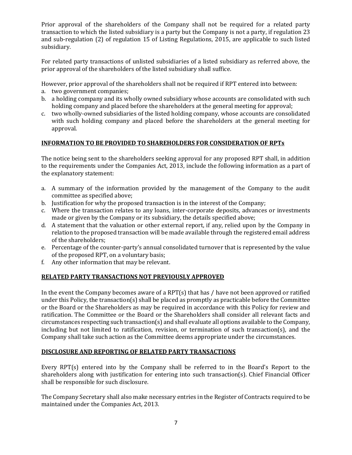Prior approval of the shareholders of the Company shall not be required for a related party transaction to which the listed subsidiary is a party but the Company is not a party, if regulation 23 and sub-regulation (2) of regulation 15 of Listing Regulations, 2015, are applicable to such listed subsidiary.

For related party transactions of unlisted subsidiaries of a listed subsidiary as referred above, the prior approval of the shareholders of the listed subsidiary shall suffice.

However, prior approval of the shareholders shall not be required if RPT entered into between:

- a. two government companies;
- b. a holding company and its wholly owned subsidiary whose accounts are consolidated with such holding company and placed before the shareholders at the general meeting for approval;
- c. two wholly-owned subsidiaries of the listed holding company, whose accounts are consolidated with such holding company and placed before the shareholders at the general meeting for approval.

## INFORMATION TO BE PROVIDED TO SHAREHOLDERS FOR CONSIDERATION OF RPTs

The notice being sent to the shareholders seeking approval for any proposed RPT shall, in addition to the requirements under the Companies Act, 2013, include the following information as a part of the explanatory statement:

- a. A summary of the information provided by the management of the Company to the audit committee as specified above;
- b. Justification for why the proposed transaction is in the interest of the Company;
- c. Where the transaction relates to any loans, inter-corporate deposits, advances or investments made or given by the Company or its subsidiary, the details specified above;
- d. A statement that the valuation or other external report, if any, relied upon by the Company in relation to the proposed transaction will be made available through the registered email address of the shareholders;
- e. Percentage of the counter-party's annual consolidated turnover that is represented by the value of the proposed RPT, on a voluntary basis;
- f. Any other information that may be relevant.

# RELATED PARTY TRANSACTIONS NOT PREVIOUSLY APPROVED

In the event the Company becomes aware of a RPT(s) that has / have not been approved or ratified under this Policy, the transaction(s) shall be placed as promptly as practicable before the Committee or the Board or the Shareholders as may be required in accordance with this Policy for review and ratification. The Committee or the Board or the Shareholders shall consider all relevant facts and circumstances respecting such transaction(s) and shall evaluate all options available to the Company, including but not limited to ratification, revision, or termination of such transaction(s), and the Company shall take such action as the Committee deems appropriate under the circumstances.

## DISCLOSURE AND REPORTING OF RELATED PARTY TRANSACTIONS

Every RPT(s) entered into by the Company shall be referred to in the Board's Report to the shareholders along with justification for entering into such transaction(s). Chief Financial Officer shall be responsible for such disclosure.

The Company Secretary shall also make necessary entries in the Register of Contracts required to be maintained under the Companies Act, 2013.